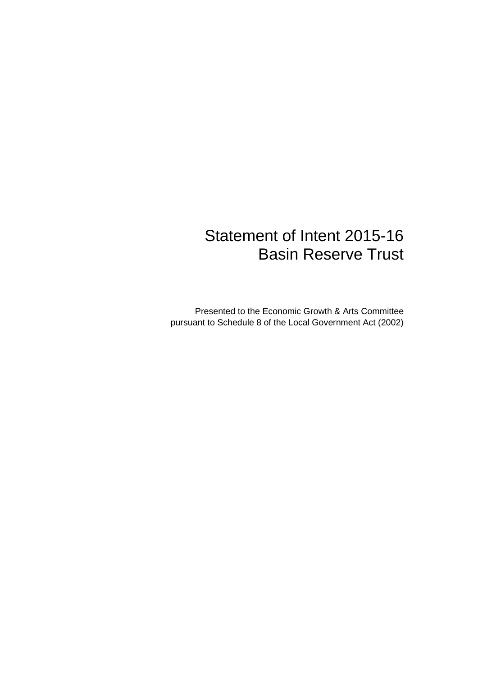# Statement of Intent 2015-16 Basin Reserve Trust

Presented to the Economic Growth & Arts Committee pursuant to Schedule 8 of the Local Government Act (2002)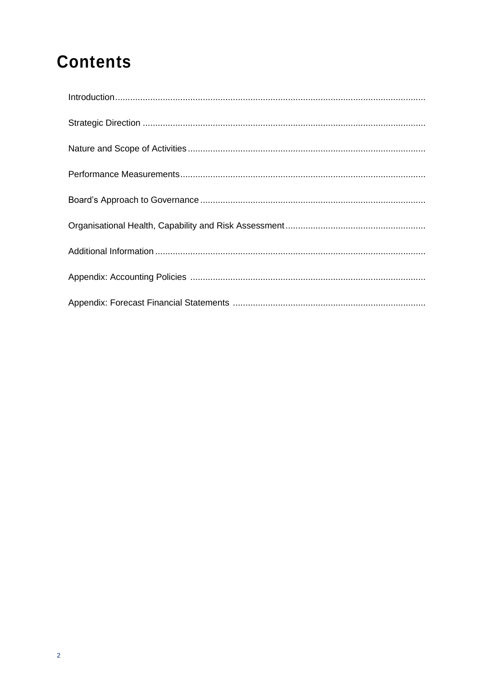# **Contents**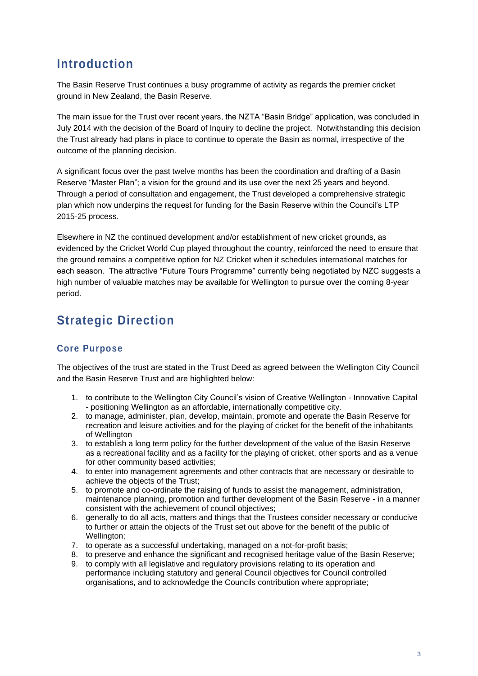# **Introduction**

The Basin Reserve Trust continues a busy programme of activity as regards the premier cricket ground in New Zealand, the Basin Reserve.

The main issue for the Trust over recent years, the NZTA "Basin Bridge" application, was concluded in July 2014 with the decision of the Board of Inquiry to decline the project. Notwithstanding this decision the Trust already had plans in place to continue to operate the Basin as normal, irrespective of the outcome of the planning decision.

A significant focus over the past twelve months has been the coordination and drafting of a Basin Reserve "Master Plan"; a vision for the ground and its use over the next 25 years and beyond. Through a period of consultation and engagement, the Trust developed a comprehensive strategic plan which now underpins the request for funding for the Basin Reserve within the Council's LTP 2015-25 process.

Elsewhere in NZ the continued development and/or establishment of new cricket grounds, as evidenced by the Cricket World Cup played throughout the country, reinforced the need to ensure that the ground remains a competitive option for NZ Cricket when it schedules international matches for each season. The attractive "Future Tours Programme" currently being negotiated by NZC suggests a high number of valuable matches may be available for Wellington to pursue over the coming 8-year period.

# **Strategic Direction**

#### **Core Purpose**

The objectives of the trust are stated in the Trust Deed as agreed between the Wellington City Council and the Basin Reserve Trust and are highlighted below:

- 1. to contribute to the Wellington City Council's vision of Creative Wellington Innovative Capital - positioning Wellington as an affordable, internationally competitive city.
- 2. to manage, administer, plan, develop, maintain, promote and operate the Basin Reserve for recreation and leisure activities and for the playing of cricket for the benefit of the inhabitants of Wellington
- 3. to establish a long term policy for the further development of the value of the Basin Reserve as a recreational facility and as a facility for the playing of cricket, other sports and as a venue for other community based activities;
- 4. to enter into management agreements and other contracts that are necessary or desirable to achieve the objects of the Trust;
- 5. to promote and co-ordinate the raising of funds to assist the management, administration, maintenance planning, promotion and further development of the Basin Reserve - in a manner consistent with the achievement of council objectives;
- 6. generally to do all acts, matters and things that the Trustees consider necessary or conducive to further or attain the objects of the Trust set out above for the benefit of the public of Wellington;
- 7. to operate as a successful undertaking, managed on a not-for-profit basis;
- 8. to preserve and enhance the significant and recognised heritage value of the Basin Reserve;
- 9. to comply with all legislative and regulatory provisions relating to its operation and performance including statutory and general Council objectives for Council controlled organisations, and to acknowledge the Councils contribution where appropriate;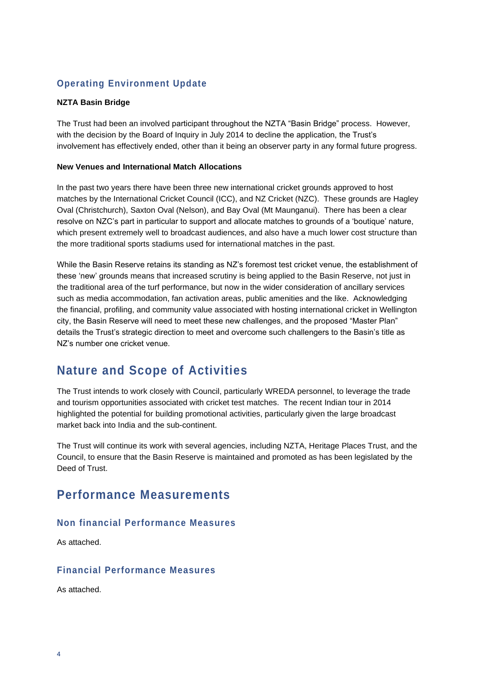### **Operating Environment Update**

#### **NZTA Basin Bridge**

The Trust had been an involved participant throughout the NZTA "Basin Bridge" process. However, with the decision by the Board of Inquiry in July 2014 to decline the application, the Trust's involvement has effectively ended, other than it being an observer party in any formal future progress.

#### **New Venues and International Match Allocations**

In the past two years there have been three new international cricket grounds approved to host matches by the International Cricket Council (ICC), and NZ Cricket (NZC). These grounds are Hagley Oval (Christchurch), Saxton Oval (Nelson), and Bay Oval (Mt Maunganui). There has been a clear resolve on NZC's part in particular to support and allocate matches to grounds of a 'boutique' nature, which present extremely well to broadcast audiences, and also have a much lower cost structure than the more traditional sports stadiums used for international matches in the past.

While the Basin Reserve retains its standing as NZ's foremost test cricket venue, the establishment of these 'new' grounds means that increased scrutiny is being applied to the Basin Reserve, not just in the traditional area of the turf performance, but now in the wider consideration of ancillary services such as media accommodation, fan activation areas, public amenities and the like. Acknowledging the financial, profiling, and community value associated with hosting international cricket in Wellington city, the Basin Reserve will need to meet these new challenges, and the proposed "Master Plan" details the Trust's strategic direction to meet and overcome such challengers to the Basin's title as NZ's number one cricket venue.

## **Nature and Scope of Activities**

The Trust intends to work closely with Council, particularly WREDA personnel, to leverage the trade and tourism opportunities associated with cricket test matches. The recent Indian tour in 2014 highlighted the potential for building promotional activities, particularly given the large broadcast market back into India and the sub-continent.

The Trust will continue its work with several agencies, including NZTA, Heritage Places Trust, and the Council, to ensure that the Basin Reserve is maintained and promoted as has been legislated by the Deed of Trust.

### **Performance Measurements**

#### **Non financial Performance Measures**

As attached.

#### **Financial Performance Measures**

As attached.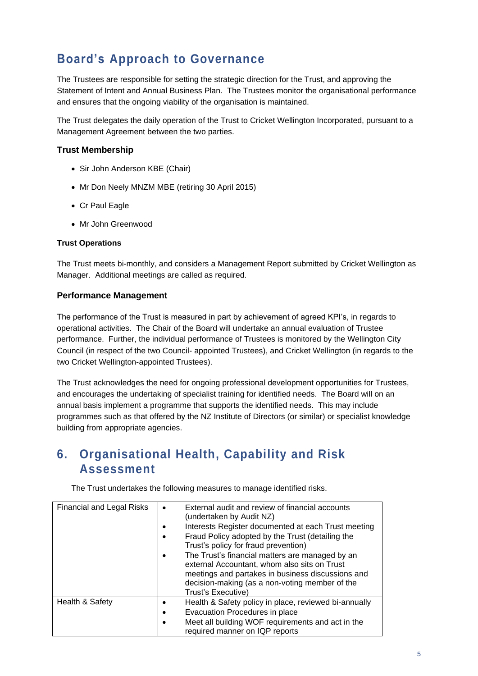# **Board's Approach to Governance**

The Trustees are responsible for setting the strategic direction for the Trust, and approving the Statement of Intent and Annual Business Plan. The Trustees monitor the organisational performance and ensures that the ongoing viability of the organisation is maintained.

The Trust delegates the daily operation of the Trust to Cricket Wellington Incorporated, pursuant to a Management Agreement between the two parties.

#### **Trust Membership**

- Sir John Anderson KBE (Chair)
- Mr Don Neely MNZM MBE (retiring 30 April 2015)
- Cr Paul Eagle
- Mr John Greenwood

#### **Trust Operations**

The Trust meets bi-monthly, and considers a Management Report submitted by Cricket Wellington as Manager. Additional meetings are called as required.

#### **Performance Management**

The performance of the Trust is measured in part by achievement of agreed KPI's, in regards to operational activities. The Chair of the Board will undertake an annual evaluation of Trustee performance. Further, the individual performance of Trustees is monitored by the Wellington City Council (in respect of the two Council- appointed Trustees), and Cricket Wellington (in regards to the two Cricket Wellington-appointed Trustees).

The Trust acknowledges the need for ongoing professional development opportunities for Trustees, and encourages the undertaking of specialist training for identified needs. The Board will on an annual basis implement a programme that supports the identified needs. This may include programmes such as that offered by the NZ Institute of Directors (or similar) or specialist knowledge building from appropriate agencies.

## **6. Organisational Health, Capability and Risk Assessment**

The Trust undertakes the following measures to manage identified risks.

| <b>Financial and Legal Risks</b> | External audit and review of financial accounts<br>$\bullet$<br>(undertaken by Audit NZ)<br>Interests Register documented at each Trust meeting<br>Fraud Policy adopted by the Trust (detailing the<br>٠<br>Trust's policy for fraud prevention)<br>The Trust's financial matters are managed by an<br>$\bullet$<br>external Accountant, whom also sits on Trust<br>meetings and partakes in business discussions and<br>decision-making (as a non-voting member of the<br>Trust's Executive) |
|----------------------------------|-----------------------------------------------------------------------------------------------------------------------------------------------------------------------------------------------------------------------------------------------------------------------------------------------------------------------------------------------------------------------------------------------------------------------------------------------------------------------------------------------|
| Health & Safety                  | Health & Safety policy in place, reviewed bi-annually<br>Evacuation Procedures in place<br>٠<br>Meet all building WOF requirements and act in the<br>٠<br>required manner on IQP reports                                                                                                                                                                                                                                                                                                      |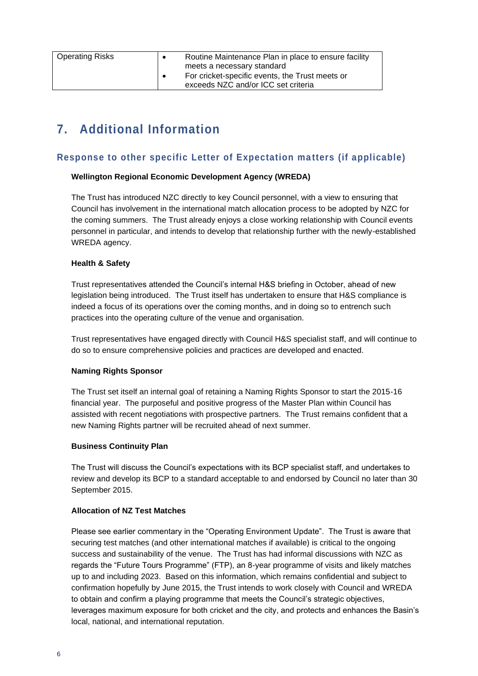| <b>Operating Risks</b> | $\bullet$ | Routine Maintenance Plan in place to ensure facility |
|------------------------|-----------|------------------------------------------------------|
|                        |           | meets a necessary standard                           |
|                        |           | For cricket-specific events, the Trust meets or      |
|                        |           | exceeds NZC and/or ICC set criteria                  |
|                        |           |                                                      |

# **7. Additional Information**

#### **Response to other specific Letter of Expectation matters (if applicable)**

#### **Wellington Regional Economic Development Agency (WREDA)**

The Trust has introduced NZC directly to key Council personnel, with a view to ensuring that Council has involvement in the international match allocation process to be adopted by NZC for the coming summers. The Trust already enjoys a close working relationship with Council events personnel in particular, and intends to develop that relationship further with the newly-established WREDA agency.

#### **Health & Safety**

Trust representatives attended the Council's internal H&S briefing in October, ahead of new legislation being introduced. The Trust itself has undertaken to ensure that H&S compliance is indeed a focus of its operations over the coming months, and in doing so to entrench such practices into the operating culture of the venue and organisation.

Trust representatives have engaged directly with Council H&S specialist staff, and will continue to do so to ensure comprehensive policies and practices are developed and enacted.

#### **Naming Rights Sponsor**

The Trust set itself an internal goal of retaining a Naming Rights Sponsor to start the 2015-16 financial year. The purposeful and positive progress of the Master Plan within Council has assisted with recent negotiations with prospective partners. The Trust remains confident that a new Naming Rights partner will be recruited ahead of next summer.

#### **Business Continuity Plan**

The Trust will discuss the Council's expectations with its BCP specialist staff, and undertakes to review and develop its BCP to a standard acceptable to and endorsed by Council no later than 30 September 2015.

#### **Allocation of NZ Test Matches**

Please see earlier commentary in the "Operating Environment Update". The Trust is aware that securing test matches (and other international matches if available) is critical to the ongoing success and sustainability of the venue. The Trust has had informal discussions with NZC as regards the "Future Tours Programme" (FTP), an 8-year programme of visits and likely matches up to and including 2023. Based on this information, which remains confidential and subject to confirmation hopefully by June 2015, the Trust intends to work closely with Council and WREDA to obtain and confirm a playing programme that meets the Council's strategic objectives, leverages maximum exposure for both cricket and the city, and protects and enhances the Basin's local, national, and international reputation.